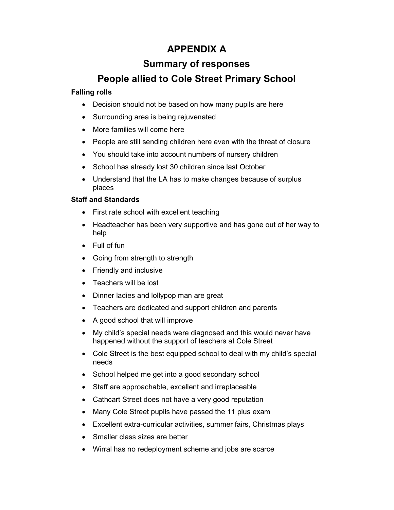# **APPENDIX A**

## **Summary of responses**

# **People allied to Cole Street Primary School**

## **Falling rolls**

- Decision should not be based on how many pupils are here
- Surrounding area is being rejuvenated
- More families will come here
- People are still sending children here even with the threat of closure
- You should take into account numbers of nursery children
- School has already lost 30 children since last October
- Understand that the LA has to make changes because of surplus places

## **Staff and Standards**

- First rate school with excellent teaching
- Headteacher has been very supportive and has gone out of her way to help
- Full of fun
- Going from strength to strength
- Friendly and inclusive
- Teachers will be lost
- Dinner ladies and lollypop man are great
- Teachers are dedicated and support children and parents
- A good school that will improve
- My child's special needs were diagnosed and this would never have happened without the support of teachers at Cole Street
- Cole Street is the best equipped school to deal with my child's special needs
- School helped me get into a good secondary school
- Staff are approachable, excellent and irreplaceable
- Cathcart Street does not have a very good reputation
- Many Cole Street pupils have passed the 11 plus exam
- Excellent extra-curricular activities, summer fairs, Christmas plays
- Smaller class sizes are better
- Wirral has no redeployment scheme and jobs are scarce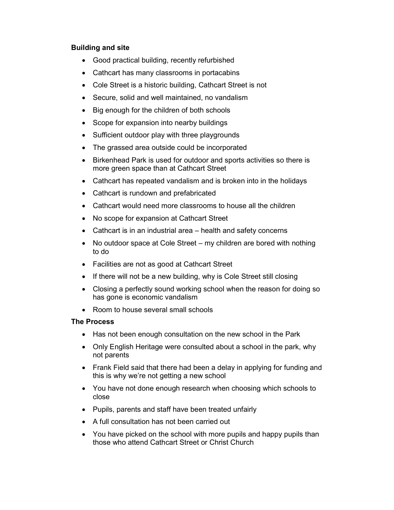### **Building and site**

- Good practical building, recently refurbished
- Cathcart has many classrooms in portacabins
- Cole Street is a historic building, Cathcart Street is not
- Secure, solid and well maintained, no vandalism
- Big enough for the children of both schools
- Scope for expansion into nearby buildings
- Sufficient outdoor play with three playgrounds
- The grassed area outside could be incorporated
- Birkenhead Park is used for outdoor and sports activities so there is more green space than at Cathcart Street
- Cathcart has repeated vandalism and is broken into in the holidays
- Cathcart is rundown and prefabricated
- Cathcart would need more classrooms to house all the children
- No scope for expansion at Cathcart Street
- Cathcart is in an industrial area health and safety concerns
- No outdoor space at Cole Street my children are bored with nothing to do
- Facilities are not as good at Cathcart Street
- If there will not be a new building, why is Cole Street still closing
- Closing a perfectly sound working school when the reason for doing so has gone is economic vandalism
- Room to house several small schools

### **The Process**

- Has not been enough consultation on the new school in the Park
- Only English Heritage were consulted about a school in the park, why not parents
- Frank Field said that there had been a delay in applying for funding and this is why we're not getting a new school
- You have not done enough research when choosing which schools to close
- Pupils, parents and staff have been treated unfairly
- A full consultation has not been carried out
- You have picked on the school with more pupils and happy pupils than those who attend Cathcart Street or Christ Church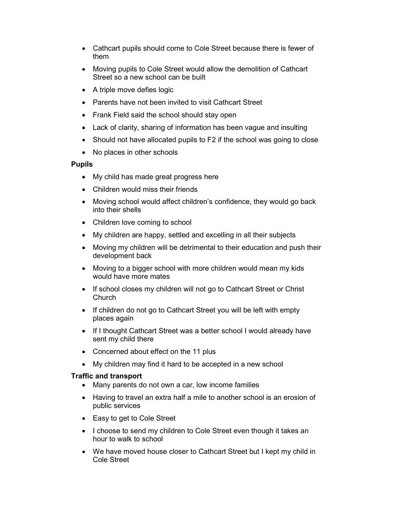- Cathcart pupils should come to Cole Street because there is fewer of them
- Moving pupils to Cole Street would allow the demolition of Cathcart Street so a new school can be built
- A triple move defies logic
- Parents have not been invited to visit Cathcart Street
- Frank Field said the school should stay open
- Lack of clarity, sharing of information has been vague and insulting
- Should not have allocated pupils to F2 if the school was going to close
- No places in other schools

#### **Pupils**

- My child has made great progress here
- Children would miss their friends
- Moving school would affect children's confidence, they would go back into their shells
- Children love coming to school
- My children are happy, settled and excelling in all their subjects
- Moving my children will be detrimental to their education and push their development back
- Moving to a bigger school with more children would mean my kids would have more mates
- If school closes my children will not go to Cathcart Street or Christ Church
- If children do not go to Cathcart Street you will be left with empty places again
- If I thought Cathcart Street was a better school I would already have sent my child there
- Concerned about effect on the 11 plus
- My children may find it hard to be accepted in a new school

#### **Traffic and transport**

- Many parents do not own a car, low income families
- Having to travel an extra half a mile to another school is an erosion of public services
- Easy to get to Cole Street
- I choose to send my children to Cole Street even though it takes an hour to walk to school
- We have moved house closer to Cathcart Street but I kept my child in Cole Street